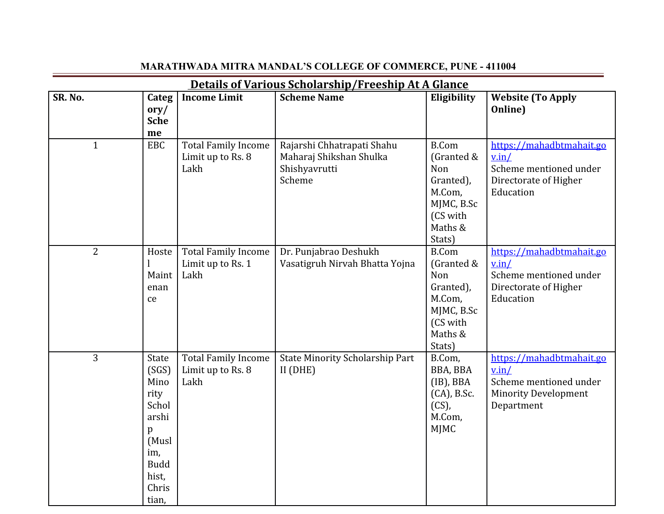| <u>Details of Various Scholarship/Freeship At A Glance</u> |                                                                                                                 |                                                         |                                                                                  |                                                                                                         |                                                                                                          |  |  |
|------------------------------------------------------------|-----------------------------------------------------------------------------------------------------------------|---------------------------------------------------------|----------------------------------------------------------------------------------|---------------------------------------------------------------------------------------------------------|----------------------------------------------------------------------------------------------------------|--|--|
| SR. No.                                                    | Categ<br>$\alpha$ ry/<br><b>Sche</b><br>me                                                                      | <b>Income Limit</b>                                     | <b>Scheme Name</b>                                                               | Eligibility                                                                                             | <b>Website (To Apply</b><br>Online)                                                                      |  |  |
| $\mathbf{1}$                                               | EBC                                                                                                             | <b>Total Family Income</b><br>Limit up to Rs. 8<br>Lakh | Rajarshi Chhatrapati Shahu<br>Maharaj Shikshan Shulka<br>Shishyavrutti<br>Scheme | <b>B.Com</b><br>(Granted &<br>Non<br>Granted),<br>M.Com,<br>MJMC, B.Sc<br>(CS with<br>Maths &<br>Stats) | https://mahadbtmahait.go<br>v.in/<br>Scheme mentioned under<br>Directorate of Higher<br>Education        |  |  |
| $\overline{2}$                                             | Hoste<br>Maint<br>enan<br>ce                                                                                    | <b>Total Family Income</b><br>Limit up to Rs. 1<br>Lakh | Dr. Punjabrao Deshukh<br>Vasatigruh Nirvah Bhatta Yojna                          | <b>B.Com</b><br>(Granted &<br>Non<br>Granted),<br>M.Com,<br>MJMC, B.Sc<br>(CS with<br>Maths &<br>Stats) | https://mahadbtmahait.go<br>v.in/<br>Scheme mentioned under<br>Directorate of Higher<br>Education        |  |  |
| 3                                                          | State<br>(SGS)<br>Mino<br>rity<br>Schol<br>arshi<br>p<br>(Musl<br>im,<br><b>Budd</b><br>hist,<br>Chris<br>tian. | <b>Total Family Income</b><br>Limit up to Rs. 8<br>Lakh | <b>State Minority Scholarship Part</b><br>$II$ (DHE)                             | B.Com,<br>BBA, BBA<br>$(IB)$ , BBA<br>$(CA)$ , B.Sc.<br>$(CS)$ ,<br>M.Com,<br><b>MJMC</b>               | https://mahadbtmahait.go<br>v.in/<br>Scheme mentioned under<br><b>Minority Development</b><br>Department |  |  |

## **MARATHWADA MITRA MANDAL'S COLLEGE OF COMMERCE, PUNE - 411004**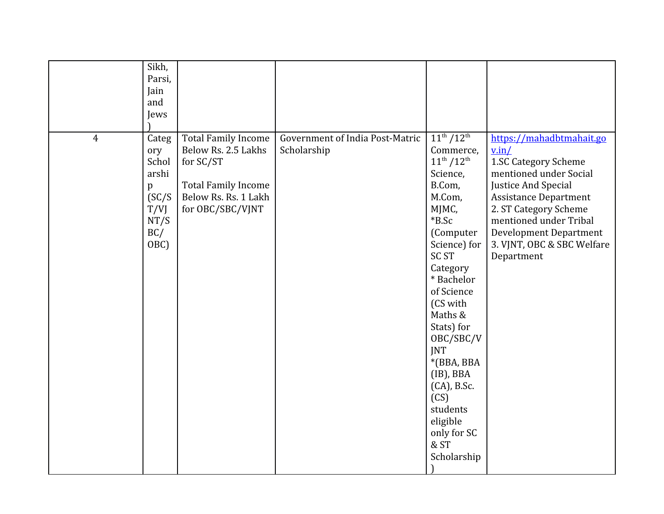|                | Sikh,<br>Parsi,<br>Jain<br>and<br>Jews                                     |                                                                                                                                          |                                                |                                                                                                                                                                                                                                                                                                                                                                                    |                                                                                                                                                                                                                                                                            |
|----------------|----------------------------------------------------------------------------|------------------------------------------------------------------------------------------------------------------------------------------|------------------------------------------------|------------------------------------------------------------------------------------------------------------------------------------------------------------------------------------------------------------------------------------------------------------------------------------------------------------------------------------------------------------------------------------|----------------------------------------------------------------------------------------------------------------------------------------------------------------------------------------------------------------------------------------------------------------------------|
| $\overline{4}$ | Categ<br>ory<br>Schol<br>arshi<br>p<br>SC/S<br>T/VJ<br>NT/S<br>BC/<br>OBC) | <b>Total Family Income</b><br>Below Rs. 2.5 Lakhs<br>for SC/ST<br><b>Total Family Income</b><br>Below Rs. Rs. 1 Lakh<br>for OBC/SBC/VJNT | Government of India Post-Matric<br>Scholarship | $11^{th}/12^{th}$<br>Commerce,<br>$11^{th}/12^{th}$<br>Science,<br>B.Com,<br>M.Com,<br>MJMC,<br>$*B.Sc$<br>(Computer<br>Science) for<br><b>SC ST</b><br>Category<br>* Bachelor<br>of Science<br>(CS with<br>Maths &<br>Stats) for<br>OBC/SBC/V<br><b>JNT</b><br>*(BBA, BBA<br>$(IB)$ , BBA<br>$(CA)$ , B.Sc.<br>(CS)<br>students<br>eligible<br>only for SC<br>& ST<br>Scholarship | https://mahadbtmahait.go<br>v.in/<br>1.SC Category Scheme<br>mentioned under Social<br>Justice And Special<br><b>Assistance Department</b><br>2. ST Category Scheme<br>mentioned under Tribal<br><b>Development Department</b><br>3. VJNT, OBC & SBC Welfare<br>Department |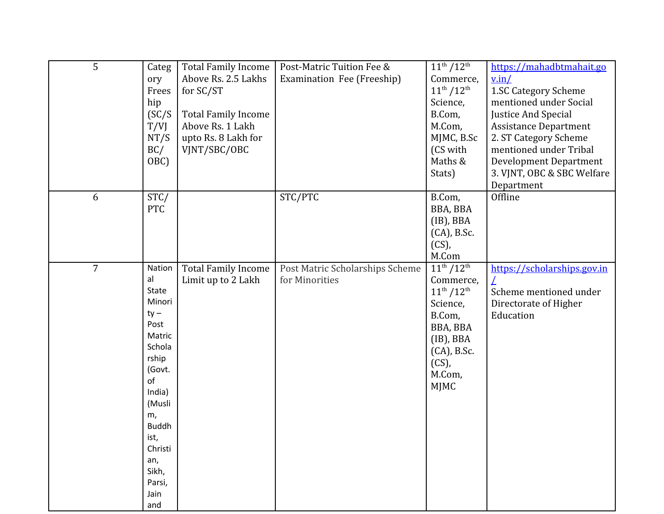| 5              | Categ<br>ory<br>Frees<br>hip<br>SC/S<br>T/VJ<br>NT/S<br>BC/<br>OBC)                                                                                                                                  | <b>Total Family Income</b><br>Above Rs. 2.5 Lakhs<br>for SC/ST<br><b>Total Family Income</b><br>Above Rs. 1 Lakh<br>upto Rs. 8 Lakh for<br>VJNT/SBC/OBC | Post-Matric Tuition Fee &<br>Examination Fee (Freeship) | $11^{th}/12^{th}$<br>Commerce,<br>$11^{th}/12^{th}$<br>Science,<br>B.Com,<br>M.Com,<br>MJMC, B.Sc<br>(CS with<br>Maths &<br>Stats)                          | https://mahadbtmahait.go<br>v.in/<br>1.SC Category Scheme<br>mentioned under Social<br>Justice And Special<br><b>Assistance Department</b><br>2. ST Category Scheme<br>mentioned under Tribal<br><b>Development Department</b><br>3. VJNT, OBC & SBC Welfare<br>Department |
|----------------|------------------------------------------------------------------------------------------------------------------------------------------------------------------------------------------------------|---------------------------------------------------------------------------------------------------------------------------------------------------------|---------------------------------------------------------|-------------------------------------------------------------------------------------------------------------------------------------------------------------|----------------------------------------------------------------------------------------------------------------------------------------------------------------------------------------------------------------------------------------------------------------------------|
| 6              | STC/<br><b>PTC</b>                                                                                                                                                                                   |                                                                                                                                                         | STC/PTC                                                 | B.Com,<br>BBA, BBA<br>$(IB)$ , BBA<br>(CA), B.Sc.<br>$(CS)$ ,<br>M.Com                                                                                      | Offline                                                                                                                                                                                                                                                                    |
| $\overline{7}$ | Nation<br>al<br>State<br>Minori<br>$ty -$<br>Post<br>Matric<br>Schola<br>rship<br>(Govt.<br>of<br>India)<br>(Musli<br>m,<br><b>Buddh</b><br>ist,<br>Christi<br>an,<br>Sikh,<br>Parsi,<br>Jain<br>and | <b>Total Family Income</b><br>Limit up to 2 Lakh                                                                                                        | Post Matric Scholarships Scheme<br>for Minorities       | $11^{th} / 12^{th}$<br>Commerce,<br>$11^{th}/12^{th}$<br>Science,<br>B.Com,<br>BBA, BBA<br>$(IB)$ , BBA<br>(CA), B.Sc.<br>$(CS)$ ,<br>M.Com,<br><b>MJMC</b> | https://scholarships.gov.in<br>Scheme mentioned under<br>Directorate of Higher<br>Education                                                                                                                                                                                |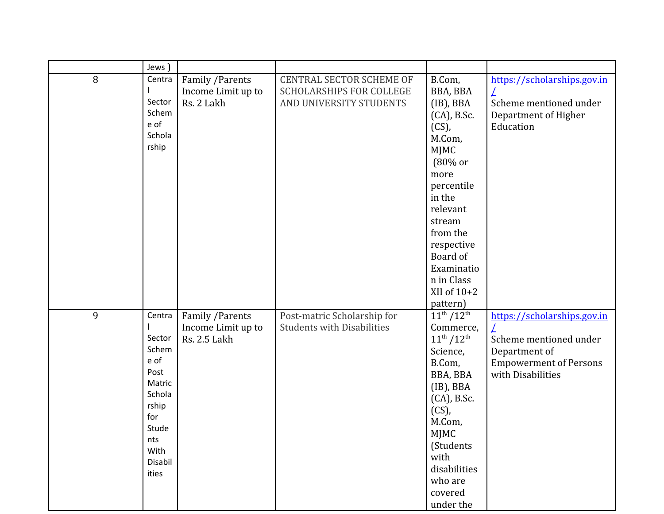|   | Jews                                                                                                                      |                                                               |                                                                                               |                                                                                                                                                                                                                            |                                                                                                                              |
|---|---------------------------------------------------------------------------------------------------------------------------|---------------------------------------------------------------|-----------------------------------------------------------------------------------------------|----------------------------------------------------------------------------------------------------------------------------------------------------------------------------------------------------------------------------|------------------------------------------------------------------------------------------------------------------------------|
| 8 | Centra<br>Sector<br>Schem<br>e of<br>Schola<br>rship                                                                      | Family / Parents<br>Income Limit up to<br>Rs. 2 Lakh          | <b>CENTRAL SECTOR SCHEME OF</b><br><b>SCHOLARSHIPS FOR COLLEGE</b><br>AND UNIVERSITY STUDENTS | B.Com,<br>BBA, BBA<br>$(IB)$ , BBA<br>(CA), B.Sc.<br>$(CS)$ ,<br>M.Com,<br><b>MJMC</b><br>(80% or<br>more<br>percentile<br>in the<br>relevant<br>stream<br>from the<br>respective<br>Board of<br>Examinatio<br>n in Class  | https://scholarships.gov.in<br>Scheme mentioned under<br>Department of Higher<br>Education                                   |
|   |                                                                                                                           |                                                               |                                                                                               | XII of $10+2$<br>pattern)                                                                                                                                                                                                  |                                                                                                                              |
| 9 | Centra<br>Sector<br>Schem<br>e of<br>Post<br>Matric<br>Schola<br>rship<br>for<br>Stude<br>nts<br>With<br>Disabil<br>ities | Family / Parents<br>Income Limit up to<br><b>Rs. 2.5 Lakh</b> | Post-matric Scholarship for<br><b>Students with Disabilities</b>                              | $11^{th}/12^{th}$<br>Commerce,<br>$11^{th}/12^{th}$<br>Science,<br>B.Com,<br>BBA, BBA<br>$(IB)$ , BBA<br>(CA), B.Sc.<br>$(CS)$ ,<br>M.Com,<br>MJMC<br>(Students<br>with<br>disabilities<br>who are<br>covered<br>under the | https://scholarships.gov.in<br>Scheme mentioned under<br>Department of<br><b>Empowerment of Persons</b><br>with Disabilities |